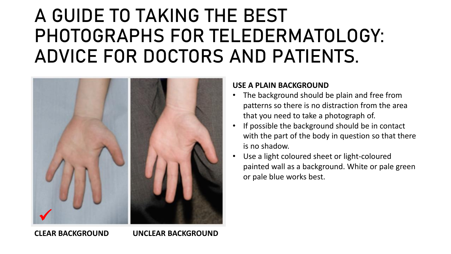### A GUIDE TO TAKING THE BEST PHOTOGRAPHS FOR TELEDERMATOLOGY: ADVICE FOR DOCTORS AND PATIENTS.



#### **USE A PLAIN BACKGROUND**

- The background should be plain and free from patterns so there is no distraction from the area that you need to take a photograph of.
- If possible the background should be in contact with the part of the body in question so that there is no shadow.
- Use a light coloured sheet or light-coloured painted wall as a background. White or pale green or pale blue works best.

**CLEAR BACKGROUND UNCLEAR BACKGROUND**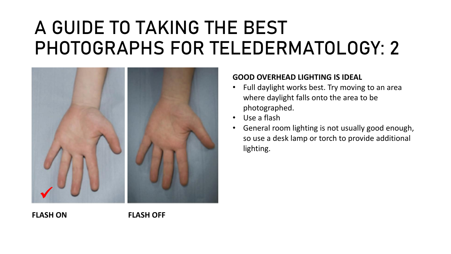

#### **GOOD OVERHEAD LIGHTING IS IDEAL**

- Full daylight works best. Try moving to an area where daylight falls onto the area to be photographed.
- Use a flash
- General room lighting is not usually good enough, so use a desk lamp or torch to provide additional lighting.

**FLASH ON FLASH OFF**

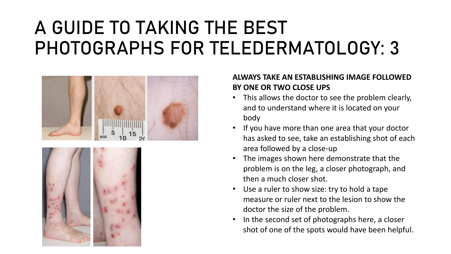



### **ALWAYS TAKE AN ESTABLISHING IMAGE FOLLOWED BY ONE OR TWO CLOSE UPS**

- This allows the doctor to see the problem clearly, and to understand where it is located on your body
- If you have more than one area that your doctor has asked to see, take an establishing shot of each area followed by a close-up
- The images shown here demonstrate that the problem is on the leg, a closer photograph, and then a much closer shot.
- Use a ruler to show size: try to hold a tape measure or ruler next to the lesion to show the doctor the size of the problem.
- In the second set of photographs here, a closer shot of one of the spots would have been helpful.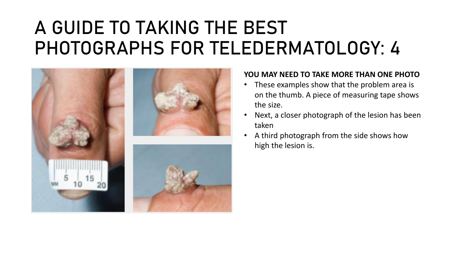

#### **YOU MAY NEED TO TAKE MORE THAN ONE PHOTO**

- These examples show that the problem area is on the thumb. A piece of measuring tape shows the size.
- Next, a closer photograph of the lesion has been taken
- A third photograph from the side shows how high the lesion is.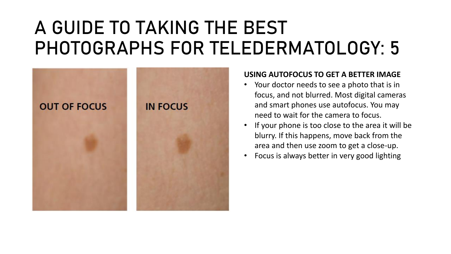

#### **USING AUTOFOCUS TO GET A BETTER IMAGE**

- Your doctor needs to see a photo that is in focus, and not blurred. Most digital cameras and smart phones use autofocus. You may need to wait for the camera to focus.
- If your phone is too close to the area it will be blurry. If this happens, move back from the area and then use zoom to get a close-up.
- Focus is always better in very good lighting